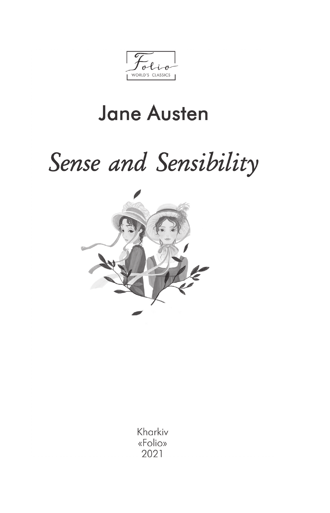WORLD'S CLASSICS

## **Jane Austen**

# Sense and Sensibility



Kharkiv «Folio» 2021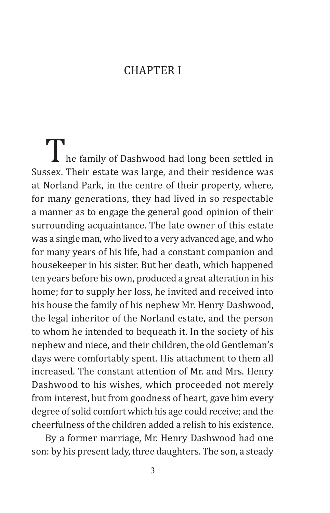#### **CHAPTER I**

I he family of Dashwood had long been settled in Sussex. Their estate was large, and their residence was at Norland Park, in the centre of their property, where, for many generations, they had lived in so respectable a manner as to engage the general good opinion of their surrounding acquaintance. The late owner of this estate was a single man, who lived to a very advanced age, and who for many years of his life, had a constant companion and housekeeper in his sister. But her death, which happened ten years before his own, produced a great alteration in his home; for to supply her loss, he invited and received into his house the family of his nephew Mr. Henry Dashwood, the legal inheritor of the Norland estate, and the person to whom he intended to bequeath it. In the society of his nephew and niece, and their children, the old Gentleman's days were comfortably spent. His attachment to them all increased. The constant attention of Mr. and Mrs. Henry Dashwood to his wishes, which proceeded not merely from interest, but from goodness of heart, gave him every degree of solid comfort which his age could receive; and the cheerfulness of the children added a relish to his existence.

By a former marriage, Mr. Henry Dashwood had one son: by his present lady, three daughters. The son, a steady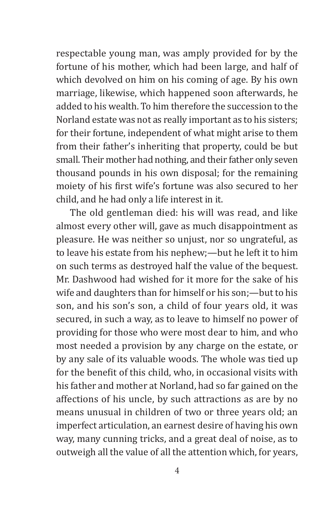respectable young man, was amply provided for by the fortune of his mother, which had been large, and half of which devolved on him on his coming of age. By his own marriage, likewise, which happened soon afterwards, he added to his wealth. To him therefore the succession to the Norland estate was not as really important as to his sisters; for their fortune, independent of what might arise to them from their father's inheriting that property, could be but small. Their mother had nothing, and their father only seven thousand pounds in his own disposal; for the remaining moiety of his first wife's fortune was also secured to her child, and he had only a life interest in it.

The old gentleman died: his will was read, and like almost every other will, gave as much disappointment as pleasure. He was neither so unjust, nor so ungrateful, as to leave his estate from his nephew;—but he left it to him on such terms as destroyed half the value of the bequest. Mr. Dashwood had wished for it more for the sake of his wife and daughters than for himself or his son;—but to his son, and his son's son, a child of four years old, it was secured, in such a way, as to leave to himself no power of providing for those who were most dear to him, and who most needed a provision by any charge on the estate, or by any sale of its valuable woods. The whole was tied up for the benefit of this child, who, in occasional visits with his father and mother at Norland, had so far gained on the affections of his uncle, by such attractions as are by no means unusual in children of two or three years old; an imperfect articulation, an earnest desire of having his own way, many cunning tricks, and a great deal of noise, as to outweigh all the value of all the attention which, for years,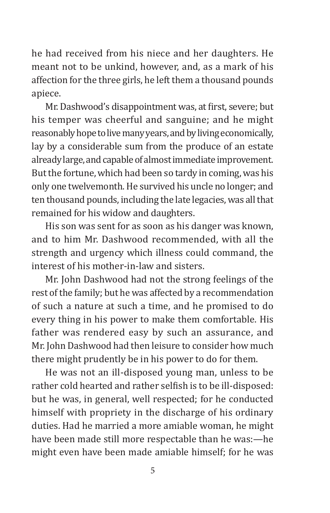he had received from his niece and her daughters. He meant not to be unkind, however, and, as a mark of his affection for the three girls, he left them a thousand pounds apiece.

Mr. Dashwood's disappointment was, at first, severe; but his temper was cheerful and sanguine; and he might reasonably hope to live many years, and by living economically, lay by a considerable sum from the produce of an estate already large, and capable of almost immediate improvement. But the fortune, which had been so tardy in coming, was his only one twelvemonth. He survived his uncle no longer; and ten thousand pounds, including the late legacies, was all that remained for his widow and daughters.

His son was sent for as soon as his danger was known, and to him Mr. Dashwood recommended, with all the strength and urgency which illness could command, the interest of his mother-in-law and sisters.

Mr. John Dashwood had not the strong feelings of the rest of the family; but he was affected by a recommendation of such a nature at such a time, and he promised to do every thing in his power to make them comfortable. His father was rendered easy by such an assurance, and Mr. John Dashwood had then leisure to consider how much there might prudently be in his power to do for them.

He was not an ill-disposed young man, unless to be rather cold hearted and rather selfish is to be ill-disposed: but he was, in general, well respected; for he conducted himself with propriety in the discharge of his ordinary duties. Had he married a more amiable woman, he might have been made still more respectable than he was:—he might even have been made amiable himself; for he was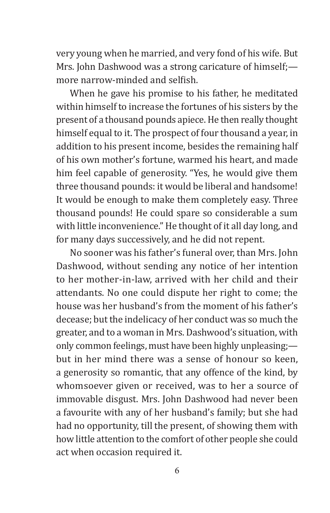very young when he married, and very fond of his wife. But Mrs. John Dashwood was a strong caricature of himself;more narrow-minded and selfish.

When he gave his promise to his father, he meditated within himself to increase the fortunes of his sisters by the present of a thousand pounds apiece. He then really thought himself equal to it. The prospect of four thousand a year, in addition to his present income, besides the remaining half of his own mother's fortune, warmed his heart, and made him feel capable of generosity. "Yes, he would give them three thousand pounds: it would be liberal and handsome! It would be enough to make them completely easy. Three thousand pounds! He could spare so considerable a sum with little inconvenience." He thought of it all day long, and for many days successively, and he did not repent.

No sooner was his father's funeral over, than Mrs. John Dashwood, without sending any notice of her intention to her mother-in-law, arrived with her child and their attendants. No one could dispute her right to come; the house was her husband's from the moment of his father's decease; but the indelicacy of her conduct was so much the greater, and to a woman in Mrs. Dashwood's situation, with only common feelings, must have been highly unpleasing; but in her mind there was a sense of honour so keen, a generosity so romantic, that any offence of the kind, by whomsoever given or received, was to her a source of immovable disgust. Mrs. John Dashwood had never been a favourite with any of her husband's family; but she had had no opportunity, till the present, of showing them with how little attention to the comfort of other people she could act when occasion required it.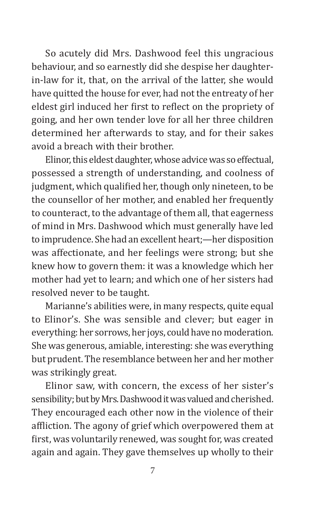So acutely did Mrs. Dashwood feel this ungracious behaviour, and so earnestly did she despise her daughterin-law for it, that, on the arrival of the latter, she would have quitted the house for ever, had not the entreaty of her eldest girl induced her first to reflect on the propriety of going, and her own tender love for all her three children determined her afterwards to stay, and for their sakes avoid a breach with their brother.

Elinor, this eldest daughter, whose advice was so effectual, possessed a strength of understanding, and coolness of judgment, which qualified her, though only nineteen, to be the counsellor of her mother, and enabled her frequently to counteract, to the advantage of them all, that eagerness of mind in Mrs. Dashwood which must generally have led to imprudence. She had an excellent heart;—her disposition was affectionate, and her feelings were strong; but she knew how to govern them: it was a knowledge which her mother had yet to learn; and which one of her sisters had resolved never to be taught.

Marianne's abilities were, in many respects, quite equal to Elinor's. She was sensible and clever; but eager in everything: her sorrows, her joys, could have no moderation. She was generous, amiable, interesting: she was everything but prudent. The resemblance between her and her mother was strikingly great.

Elinor saw, with concern, the excess of her sister's sensibility; but by Mrs.Dashwood it was valued and cherished. They encouraged each other now in the violence of their affliction. The agony of grief which overpowered them at first, was voluntarily renewed, was sought for, was created again and again. They gave themselves up wholly to their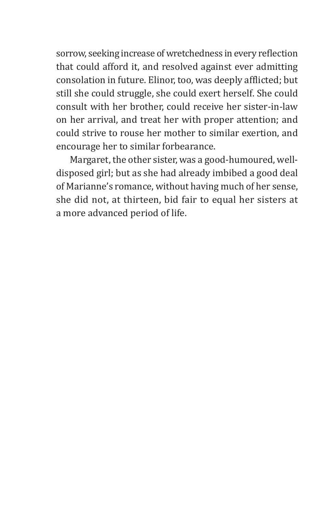sorrow, seeking increase of wretchedness in every reflection that could afford it, and resolved against ever admitting consolation in future. Elinor, too, was deeply afflicted; but still she could struggle, she could exert herself. She could consult with her brother, could receive her sister-in-law on her arrival, and treat her with proper attention; and could strive to rouse her mother to similar exertion, and encourage her to similar forbearance.

Margaret, the other sister, was a good-humoured, welldisposed girl; but as she had already imbibed a good deal of Marianne's romance, without having much of her sense, she did not, at thirteen, bid fair to equal her sisters at a more advanced period of life.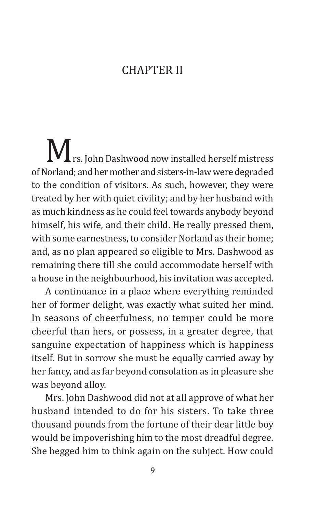#### **CHAPTER II**

M<sub>rs. John Dashwood now installed herself mistress</sub> of Norland; and her mother and sisters-in-law were degraded to the condition of visitors. As such, however, they were treated by her with quiet civility; and by her husband with as much kindness as he could feel towards anybody beyond himself, his wife, and their child. He really pressed them, with some earnestness, to consider Norland as their home; and, as no plan appeared so eligible to Mrs. Dashwood as remaining there till she could accommodate herself with a house in the neighbourhood, his invitation was accepted.

A continuance in a place where everything reminded her of former delight, was exactly what suited her mind. In seasons of cheerfulness, no temper could be more cheerful than hers, or possess, in a greater degree, that sanguine expectation of happiness which is happiness itself. But in sorrow she must be equally carried away by her fancy, and as far beyond consolation as in pleasure she was beyond alloy.

Mrs. John Dashwood did not at all approve of what her husband intended to do for his sisters. To take three thousand pounds from the fortune of their dear little boy would be impoverishing him to the most dreadful degree. She begged him to think again on the subject. How could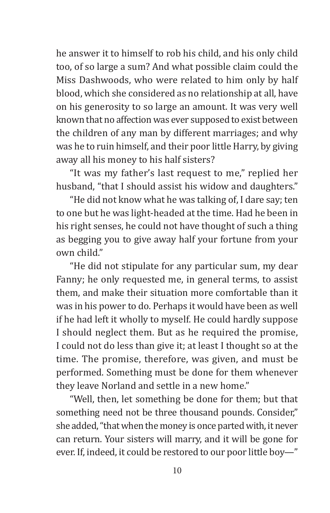he answer it to himself to rob his child, and his only child too, of so large a sum? And what possible claim could the Miss Dashwoods, who were related to him only by half blood, which she considered as no relationship at all, have on his generosity to so large an amount. It was very well known that no affection was ever supposed to exist between the children of any man by different marriages; and why was he to ruin himself, and their poor little Harry, by giving away all his money to his half sisters?

"It was my father's last request to me," replied her husband, "that I should assist his widow and daughters."

"He did not know what he was talking of, I dare say; ten to one but he was light-headed at the time. Had he been in his right senses, he could not have thought of such a thing as begging you to give away half your fortune from your own child"

"He did not stipulate for any particular sum, my dear Fanny; he only requested me, in general terms, to assist them, and make their situation more comfortable than it was in his power to do. Perhaps it would have been as well if he had left it wholly to myself. He could hardly suppose I should neglect them. But as he required the promise, I could not do less than give it; at least I thought so at the time. The promise, therefore, was given, and must be performed. Something must be done for them whenever they leave Norland and settle in a new home."

"Well, then, let something be done for them; but that something need not be three thousand pounds. Consider," she added, "that when the money is once parted with, it never can return. Your sisters will marry, and it will be gone for ever. If, indeed, it could be restored to our poor little boy—"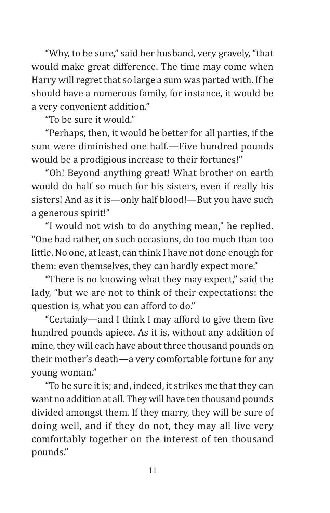"Why, to be sure," said her husband, very gravely, "that would make great difference. The time may come when Harry will regret that so large a sum was parted with. If he should have a numerous family, for instance, it would be a very convenient addition."

"To be sure it would."

"Perhaps, then, it would be better for all parties, if the sum were diminished one half.—Five hundred pounds would be a prodigious increase to their fortunes!"

"Oh! Beyond anything great! What brother on earth would do half so much for his sisters, even if really his sisters! And as it is—only half blood!—But you have such a generous spirit!"

"I would not wish to do anything mean," he replied. "One had rather, on such occasions, do too much than too little. No one, at least, can think I have not done enough for them: even themselves, they can hardly expect more."

"There is no knowing what they may expect," said the lady, "but we are not to think of their expectations: the question is, what you can afford to do."

"Certainly—and I think I may afford to give them five hundred pounds apiece. As it is, without any addition of mine, they will each have about three thousand pounds on their mother's death—a very comfortable fortune for any young woman."

"To be sure it is; and, indeed, it strikes me that they can want no addition at all. They will have ten thousand pounds divided amongst them. If they marry, they will be sure of doing well, and if they do not, they may all live very comfortably together on the interest of ten thousand pounds."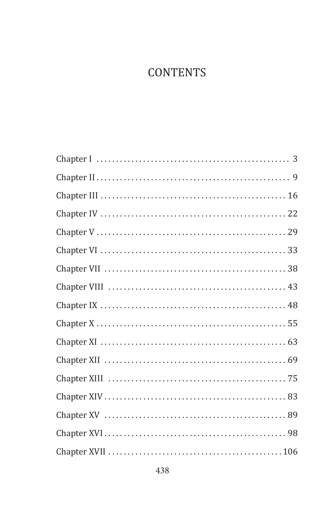### **CONTENTS**